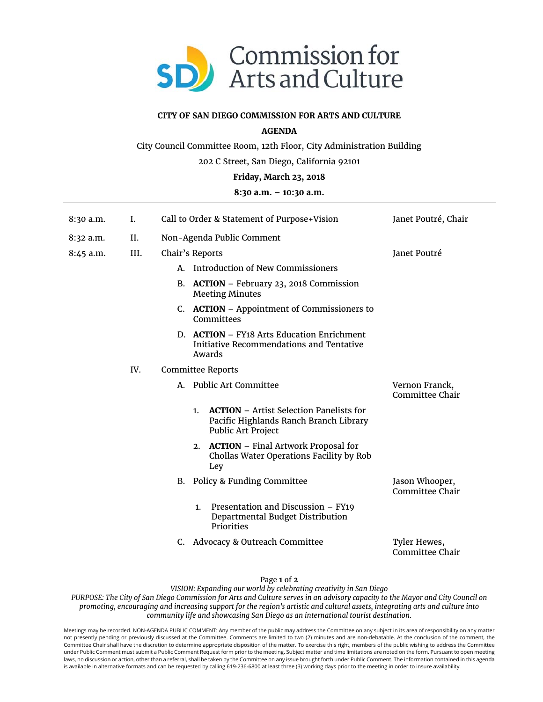

# **CITY OF SAN DIEGO COMMISSION FOR ARTS AND CULTURE**

# **AGENDA**

City Council Committee Room, 12th Floor, City Administration Building

202 C Street, San Diego, California 92101

## **Friday, March 23, 2018**

# **8:30 a.m. – 10:30 a.m.**

| 8:30 a.m.   | I.   | Call to Order & Statement of Purpose+Vision                                                                          | Janet Poutré, Chair               |
|-------------|------|----------------------------------------------------------------------------------------------------------------------|-----------------------------------|
| 8:32 a.m.   | II.  | Non-Agenda Public Comment                                                                                            |                                   |
| $8:45$ a.m. | III. | Chair's Reports                                                                                                      | Janet Poutré                      |
|             |      | Introduction of New Commissioners<br>А.                                                                              |                                   |
|             |      | B. ACTION - February 23, 2018 Commission<br><b>Meeting Minutes</b>                                                   |                                   |
|             |      | C. ACTION – Appointment of Commissioners to<br>Committees                                                            |                                   |
|             |      | D. ACTION - FY18 Arts Education Enrichment<br>Initiative Recommendations and Tentative<br>Awards                     |                                   |
|             | IV.  | <b>Committee Reports</b>                                                                                             |                                   |
|             |      | Public Art Committee<br>А.                                                                                           | Vernon Franck,<br>Committee Chair |
|             |      | <b>ACTION</b> – Artist Selection Panelists for<br>1.<br>Pacific Highlands Ranch Branch Library<br>Public Art Project |                                   |
|             |      | 2. ACTION - Final Artwork Proposal for<br>Chollas Water Operations Facility by Rob<br>Ley                            |                                   |
|             |      | <b>Policy &amp; Funding Committee</b><br>В.                                                                          | Jason Whooper,<br>Committee Chair |
|             |      | Presentation and Discussion - FY19<br>1.<br>Departmental Budget Distribution<br>Priorities                           |                                   |
|             |      | Advocacy & Outreach Committee<br>C.                                                                                  | Tyler Hewes,<br>Committee Chair   |

### Page **1** of **2**

*VISION: Expanding our world by celebrating creativity in San Diego PURPOSE: The City of San Diego Commission for Arts and Culture serves in an advisory capacity to the Mayor and City Council on promoting, encouraging and increasing support for the region's artistic and cultural assets, integrating arts and culture into community life and showcasing San Diego as an international tourist destination.* 

Meetings may be recorded. NON-AGENDA PUBLIC COMMENT: Any member of the public may address the Committee on any subject in its area of responsibility on any matter not presently pending or previously discussed at the Committee. Comments are limited to two (2) minutes and are non-debatable. At the conclusion of the comment, the Committee Chair shall have the discretion to determine appropriate disposition of the matter. To exercise this right, members of the public wishing to address the Committee under Public Comment must submit a Public Comment Request form prior to the meeting. Subject matter and time limitations are noted on the form. Pursuant to open meeting laws, no discussion or action, other than a referral, shall be taken by the Committee on any issue brought forth under Public Comment. The information contained in this agenda is available in alternative formats and can be requested by calling 619-236-6800 at least three (3) working days prior to the meeting in order to insure availability.